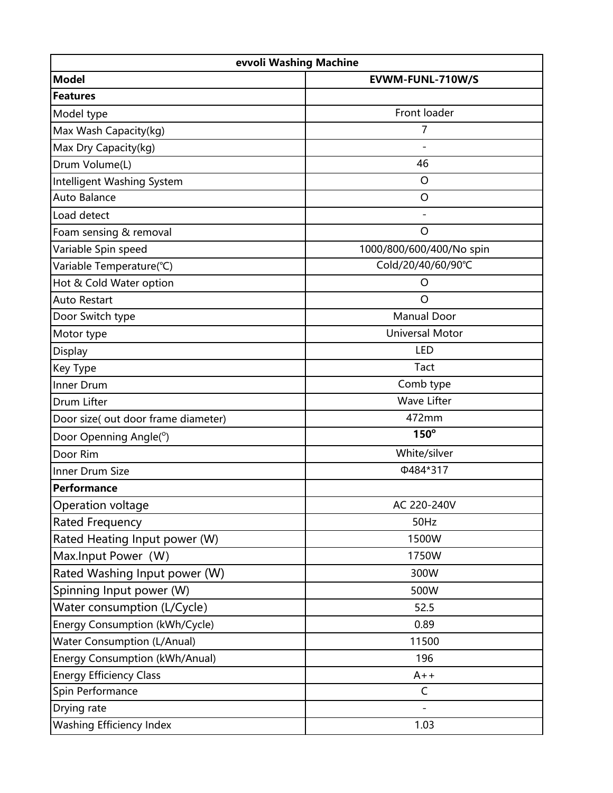| evvoli Washing Machine              |                          |  |
|-------------------------------------|--------------------------|--|
| <b>Model</b>                        | EVWM-FUNL-710W/S         |  |
| <b>Features</b>                     |                          |  |
| Model type                          | Front loader             |  |
| Max Wash Capacity(kg)               | 7                        |  |
| Max Dry Capacity(kg)                |                          |  |
| Drum Volume(L)                      | 46                       |  |
| Intelligent Washing System          | $\circ$                  |  |
| Auto Balance                        | $\circ$                  |  |
| Load detect                         |                          |  |
| Foam sensing & removal              | $\circ$                  |  |
| Variable Spin speed                 | 1000/800/600/400/No spin |  |
| Variable Temperature(°C)            | Cold/20/40/60/90°C       |  |
| Hot & Cold Water option             | O                        |  |
| <b>Auto Restart</b>                 | $\overline{O}$           |  |
| Door Switch type                    | <b>Manual Door</b>       |  |
| Motor type                          | <b>Universal Motor</b>   |  |
| Display                             | <b>LED</b>               |  |
| Key Type                            | Tact                     |  |
| Inner Drum                          | Comb type                |  |
| Drum Lifter                         | <b>Wave Lifter</b>       |  |
| Door size( out door frame diameter) | 472mm                    |  |
| Door Openning Angle(°)              | $150^\circ$              |  |
| Door Rim                            | White/silver             |  |
| Inner Drum Size                     | Φ484*317                 |  |
| Performance                         |                          |  |
| Operation voltage                   | AC 220-240V              |  |
| Rated Frequency                     | 50Hz                     |  |
| Rated Heating Input power (W)       | 1500W                    |  |
| Max.Input Power (W)                 | 1750W                    |  |
| Rated Washing Input power (W)       | 300W                     |  |
| Spinning Input power (W)            | 500W                     |  |
| Water consumption (L/Cycle)         | 52.5                     |  |
| Energy Consumption (kWh/Cycle)      | 0.89                     |  |
| <b>Water Consumption (L/Anual)</b>  | 11500                    |  |
| Energy Consumption (kWh/Anual)      | 196                      |  |
| <b>Energy Efficiency Class</b>      | $A++$                    |  |
| Spin Performance                    | $\mathsf{C}$             |  |
| Drying rate                         |                          |  |
| <b>Washing Efficiency Index</b>     | 1.03                     |  |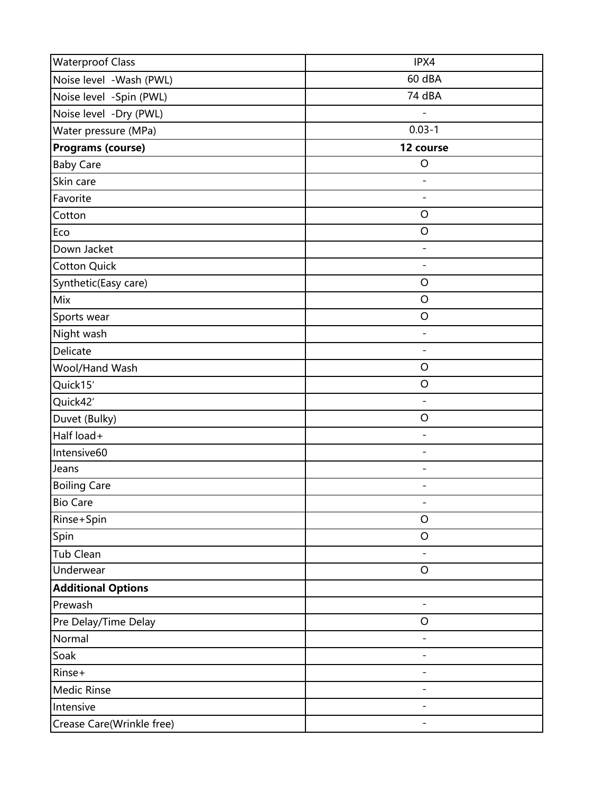| <b>Waterproof Class</b>   | IPX4                     |
|---------------------------|--------------------------|
| Noise level -Wash (PWL)   | 60 dBA                   |
| Noise level -Spin (PWL)   | 74 dBA                   |
| Noise level -Dry (PWL)    |                          |
| Water pressure (MPa)      | $0.03 - 1$               |
| <b>Programs (course)</b>  | 12 course                |
| <b>Baby Care</b>          | $\circ$                  |
| Skin care                 |                          |
| Favorite                  |                          |
| Cotton                    | O                        |
| Eco                       | O                        |
| Down Jacket               | $\overline{\phantom{a}}$ |
| <b>Cotton Quick</b>       | $\overline{\phantom{a}}$ |
| Synthetic(Easy care)      | $\mathsf O$              |
| Mix                       | O                        |
| Sports wear               | O                        |
| Night wash                | $\overline{\phantom{a}}$ |
| Delicate                  | $\blacksquare$           |
| Wool/Hand Wash            | O                        |
| Quick15'                  | O                        |
| Quick42'                  | $\overline{a}$           |
| Duvet (Bulky)             | O                        |
| Half load+                | $\overline{\phantom{0}}$ |
| Intensive60               | $\overline{\phantom{a}}$ |
| Jeans                     |                          |
| <b>Boiling Care</b>       | $\overline{\phantom{a}}$ |
| <b>Bio Care</b>           |                          |
| Rinse+Spin                | $\circ$                  |
| Spin                      | O                        |
| Tub Clean                 |                          |
| Underwear                 | $\circ$                  |
| <b>Additional Options</b> |                          |
| Prewash                   | $\overline{\phantom{a}}$ |
| Pre Delay/Time Delay      | O                        |
| Normal                    | $\overline{\phantom{a}}$ |
| Soak                      |                          |
| Rinse+                    |                          |
| <b>Medic Rinse</b>        |                          |
| Intensive                 |                          |
| Crease Care(Wrinkle free) | -                        |